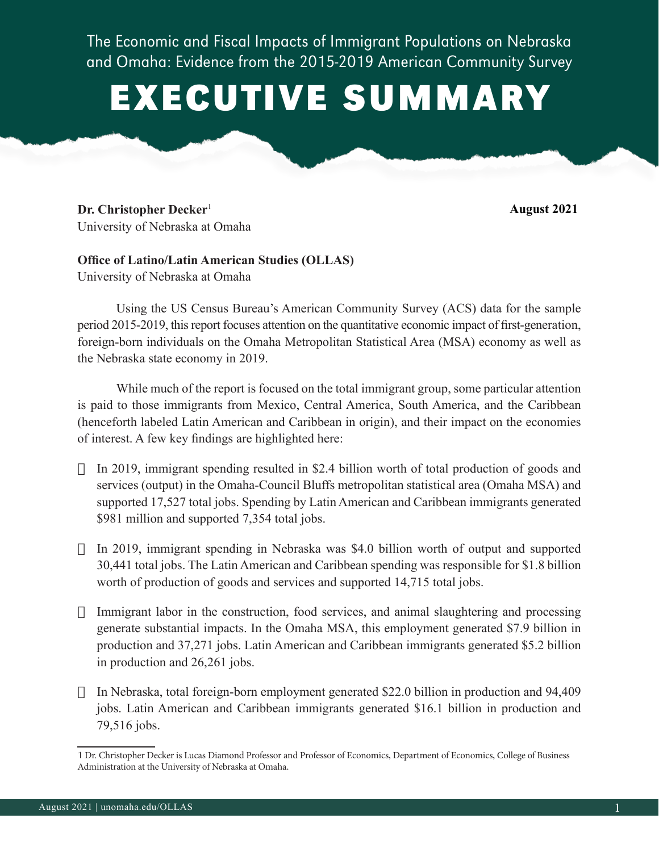The Economic and Fiscal Impacts of Immigrant Populations on Nebraska and Omaha: Evidence from the 2015-2019 American Community Survey

## EXECUTIVE SUMMARY

**Dr. Christopher Decker**<sup>1</sup> University of Nebraska at Omaha **August 2021**

## **Office of Latino/Latin American Studies (OLLAS)** University of Nebraska at Omaha

Using the US Census Bureau's American Community Survey (ACS) data for the sample period 2015-2019, this report focuses attention on the quantitative economic impact of first-generation, foreign-born individuals on the Omaha Metropolitan Statistical Area (MSA) economy as well as the Nebraska state economy in 2019.

While much of the report is focused on the total immigrant group, some particular attention is paid to those immigrants from Mexico, Central America, South America, and the Caribbean (henceforth labeled Latin American and Caribbean in origin), and their impact on the economies of interest. A few key findings are highlighted here:

- $\Box$  In 2019, immigrant spending resulted in \$2.4 billion worth of total production of goods and services (output) in the Omaha-Council Bluffs metropolitan statistical area (Omaha MSA) and supported 17,527 total jobs. Spending by Latin American and Caribbean immigrants generated \$981 million and supported 7,354 total jobs.
- $\Box$  In 2019, immigrant spending in Nebraska was \$4.0 billion worth of output and supported 30,441 total jobs. The Latin American and Caribbean spending was responsible for \$1.8 billion worth of production of goods and services and supported 14,715 total jobs.
- $\Box$  Immigrant labor in the construction, food services, and animal slaughtering and processing generate substantial impacts. In the Omaha MSA, this employment generated \$7.9 billion in production and 37,271 jobs. Latin American and Caribbean immigrants generated \$5.2 billion in production and 26,261 jobs.
- $\Box$  In Nebraska, total foreign-born employment generated \$22.0 billion in production and 94,409 jobs. Latin American and Caribbean immigrants generated \$16.1 billion in production and 79,516 jobs.

<sup>1</sup> Dr. Christopher Decker is Lucas Diamond Professor and Professor of Economics, Department of Economics, College of Business Administration at the University of Nebraska at Omaha.